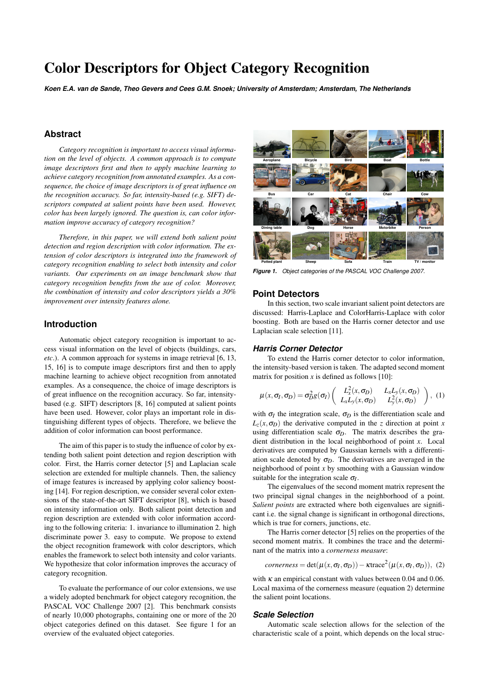# Color Descriptors for Object Category Recognition

*Koen E.A. van de Sande, Theo Gevers and Cees G.M. Snoek; University of Amsterdam; Amsterdam, The Netherlands*

# **Abstract**

*Category recognition is important to access visual information on the level of objects. A common approach is to compute image descriptors first and then to apply machine learning to achieve category recognition from annotated examples. As a consequence, the choice of image descriptors is of great influence on the recognition accuracy. So far, intensity-based (e.g. SIFT) descriptors computed at salient points have been used. However, color has been largely ignored. The question is, can color information improve accuracy of category recognition?*

*Therefore, in this paper, we will extend both salient point detection and region description with color information. The extension of color descriptors is integrated into the framework of category recognition enabling to select both intensity and color variants. Our experiments on an image benchmark show that category recognition benefits from the use of color. Moreover, the combination of intensity and color descriptors yields a 30% improvement over intensity features alone.*

# **Introduction**

Automatic object category recognition is important to access visual information on the level of objects (buildings, cars, *etc*.). A common approach for systems in image retrieval [6, 13, 15, 16] is to compute image descriptors first and then to apply machine learning to achieve object recognition from annotated examples. As a consequence, the choice of image descriptors is of great influence on the recognition accuracy. So far, intensitybased (e.g. SIFT) descriptors [8, 16] computed at salient points have been used. However, color plays an important role in distinguishing different types of objects. Therefore, we believe the addition of color information can boost performance.

The aim of this paper is to study the influence of color by extending both salient point detection and region description with color. First, the Harris corner detector [5] and Laplacian scale selection are extended for multiple channels. Then, the saliency of image features is increased by applying color saliency boosting [14]. For region description, we consider several color extensions of the state-of-the-art SIFT descriptor [8], which is based on intensity information only. Both salient point detection and region description are extended with color information according to the following criteria: 1. invariance to illumination 2. high discriminate power 3. easy to compute. We propose to extend the object recognition framework with color descriptors, which enables the framework to select both intensity and color variants. We hypothesize that color information improves the accuracy of category recognition.

To evaluate the performance of our color extensions, we use a widely adopted benchmark for object category recognition, the PASCAL VOC Challenge 2007 [2]. This benchmark consists of nearly 10,000 photographs, containing one or more of the 20 object categories defined on this dataset. See figure 1 for an overview of the evaluated object categories.



*Figure 1. Object categories of the PASCAL VOC Challenge 2007.*

# **Point Detectors**

In this section, two scale invariant salient point detectors are discussed: Harris-Laplace and ColorHarris-Laplace with color boosting. Both are based on the Harris corner detector and use Laplacian scale selection [11].

#### *Harris Corner Detector*

To extend the Harris corner detector to color information, the intensity-based version is taken. The adapted second moment matrix for position  $x$  is defined as follows [10]:

$$
\mu(x,\sigma_I,\sigma_D) = \sigma_D^2 g(\sigma_I) \begin{pmatrix} L_x^2(x,\sigma_D) & L_x L_y(x,\sigma_D) \\ L_x L_y(x,\sigma_D) & L_y^2(x,\sigma_D) \end{pmatrix}, (1)
$$

with  $\sigma$ <sub>*I*</sub> the integration scale,  $\sigma$ <sub>*D*</sub> is the differentiation scale and  $L_z(x, \sigma_D)$  the derivative computed in the *z* direction at point *x* using differentiation scale  $\sigma_D$ . The matrix describes the gradient distribution in the local neighborhood of point *x*. Local derivatives are computed by Gaussian kernels with a differentiation scale denoted by  $\sigma_D$ . The derivatives are averaged in the neighborhood of point *x* by smoothing with a Gaussian window suitable for the integration scale  $\sigma$ <sub>*I*</sub>.

The eigenvalues of the second moment matrix represent the two principal signal changes in the neighborhood of a point. *Salient points* are extracted where both eigenvalues are significant i.e. the signal change is significant in orthogonal directions, which is true for corners, junctions, etc.

The Harris corner detector [5] relies on the properties of the second moment matrix. It combines the trace and the determinant of the matrix into a *cornerness measure*:

*cornerness* = det(
$$
\mu(x, \sigma_I, \sigma_D)
$$
) –  $\kappa$ trace<sup>2</sup>( $\mu(x, \sigma_I, \sigma_D)$ ), (2)

with  $\kappa$  an empirical constant with values between 0.04 and 0.06. Local maxima of the cornerness measure (equation 2) determine the salient point locations.

## *Scale Selection*

Automatic scale selection allows for the selection of the characteristic scale of a point, which depends on the local struc-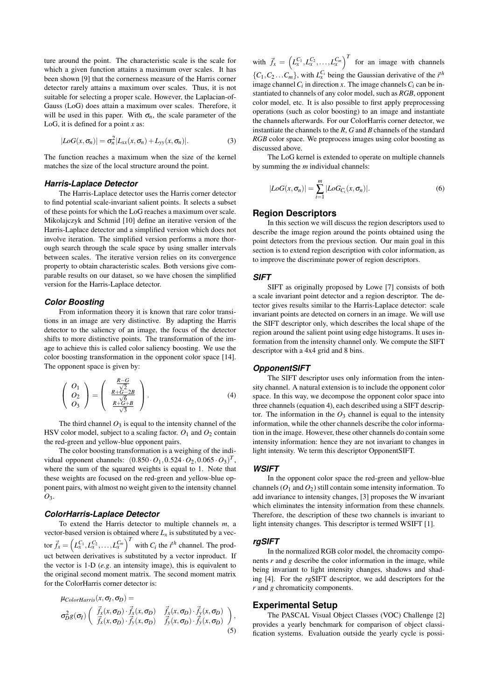ture around the point. The characteristic scale is the scale for which a given function attains a maximum over scales. It has been shown [9] that the cornerness measure of the Harris corner detector rarely attains a maximum over scales. Thus, it is not suitable for selecting a proper scale. However, the Laplacian-of-Gauss (LoG) does attain a maximum over scales. Therefore, it will be used in this paper. With  $\sigma_n$ , the scale parameter of the LoG, it is defined for a point *x* as:

$$
|LoG(x, \sigma_n)| = \sigma_n^2 |L_{xx}(x, \sigma_n) + L_{yy}(x, \sigma_n)|.
$$
 (3)

The function reaches a maximum when the size of the kernel matches the size of the local structure around the point.

#### *Harris-Laplace Detector*

The Harris-Laplace detector uses the Harris corner detector to find potential scale-invariant salient points. It selects a subset of these points for which the LoG reaches a maximum over scale. Mikolajczyk and Schmid [10] define an iterative version of the Harris-Laplace detector and a simplified version which does not involve iteration. The simplified version performs a more thorough search through the scale space by using smaller intervals between scales. The iterative version relies on its convergence property to obtain characteristic scales. Both versions give comparable results on our dataset, so we have chosen the simplified version for the Harris-Laplace detector.

#### *Color Boosting*

From information theory it is known that rare color transitions in an image are very distinctive. By adapting the Harris detector to the saliency of an image, the focus of the detector shifts to more distinctive points. The transformation of the image to achieve this is called color saliency boosting. We use the color boosting transformation in the opponent color space [14]. The opponent space is given by:

$$
\left(\begin{array}{c} O_1 \\ O_2 \\ O_3 \end{array}\right) = \left(\begin{array}{c} \frac{R-G}{\sqrt{2}} \\ \frac{R+G-2B}{\sqrt{6}} \\ \frac{R+G+B}{\sqrt{3}} \end{array}\right). \tag{4}
$$

The third channel  $O_3$  is equal to the intensity channel of the HSV color model, subject to a scaling factor.  $O_1$  and  $O_2$  contain the red-green and yellow-blue opponent pairs.

The color boosting transformation is a weighing of the individual opponent channels:  $(0.850 \cdot O_1, 0.524 \cdot O_2, 0.065 \cdot O_3)^T$ , where the sum of the squared weights is equal to 1. Note that these weights are focused on the red-green and yellow-blue opponent pairs, with almost no weight given to the intensity channel *O*3.

#### *ColorHarris-Laplace Detector*

To extend the Harris detector to multiple channels *m*, a vector-based version is obtained where  $L<sub>x</sub>$  is substituted by a vec- $\vec{f}_x = \left( L_x^{C_1}, L_x^{C_2}, \dots, L_x^{C_m} \right)^T$  with  $C_i$  the *i*<sup>th</sup> channel. The product between derivatives is substituted by a vector inproduct. If the vector is 1-D (*e.g*. an intensity image), this is equivalent to the original second moment matrix. The second moment matrix for the ColorHarris corner detector is:

$$
\mu_{ColorHarris}(x, \sigma_I, \sigma_D) = \n\sigma_D^2 g(\sigma_I) \left( \begin{array}{cc} \vec{f}_x(x, \sigma_D) \cdot \vec{f}_x(x, \sigma_D) & \vec{f}_x(x, \sigma_D) \cdot \vec{f}_y(x, \sigma_D) \\ \vec{f}_x(x, \sigma_D) \cdot \vec{f}_y(x, \sigma_D) & \vec{f}_y(x, \sigma_D) \cdot \vec{f}_y(x, \sigma_D) \end{array} \right),
$$
\n(5)

with  $\vec{f}_x = \left( L_x^{C_1}, L_x^{C_2}, \dots, L_x^{C_m} \right)^T$  for an image with channels  $\{C_1, C_2, \ldots, C_m\}$ , with  $L_x^{C_i}$  being the Gaussian derivative of the *i*<sup>th</sup> image channel  $C_i$  in direction *x*. The image channels  $C_i$  can be instantiated to channels of any color model, such as *RGB*, opponent color model, etc. It is also possible to first apply preprocessing operations (such as color boosting) to an image and instantiate the channels afterwards. For our ColorHarris corner detector, we instantiate the channels to the *R*, *G* and *B* channels of the standard *RGB* color space. We preprocess images using color boosting as discussed above.

The LoG kernel is extended to operate on multiple channels by summing the *m* individual channels:

$$
|LoG(x, \sigma_n)| = \sum_{i=1}^{m} |LoG_{C_i}(x, \sigma_n)|.
$$
 (6)

# **Region Descriptors**

In this section we will discuss the region descriptors used to describe the image region around the points obtained using the point detectors from the previous section. Our main goal in this section is to extend region description with color information, as to improve the discriminate power of region descriptors.

## *SIFT*

SIFT as originally proposed by Lowe [7] consists of both a scale invariant point detector and a region descriptor. The detector gives results similar to the Harris-Laplace detector: scale invariant points are detected on corners in an image. We will use the SIFT descriptor only, which describes the local shape of the region around the salient point using edge histograms. It uses information from the intensity channel only. We compute the SIFT descriptor with a 4x4 grid and 8 bins.

# *OpponentSIFT*

The SIFT descriptor uses only information from the intensity channel. A natural extension is to include the opponent color space. In this way, we decompose the opponent color space into three channels (equation 4), each described using a SIFT descriptor. The information in the  $O_3$  channel is equal to the intensity information, while the other channels describe the color information in the image. However, these other channels do contain some intensity information: hence they are not invariant to changes in light intensity. We term this descriptor OpponentSIFT.

## *WSIFT*

In the opponent color space the red-green and yellow-blue channels  $(O_1 \text{ and } O_2)$  still contain some intensity information. To add invariance to intensity changes, [3] proposes the W invariant which eliminates the intensity information from these channels. Therefore, the description of these two channels is invariant to light intensity changes. This descriptor is termed WSIFT [1].

#### *rgSIFT*

In the normalized RGB color model, the chromacity components *r* and *g* describe the color information in the image, while being invariant to light intensity changes, shadows and shading [4]. For the *rg*SIFT descriptor, we add descriptors for the *r* and *g* chromaticity components.

#### **Experimental Setup**

The PASCAL Visual Object Classes (VOC) Challenge [2] provides a yearly benchmark for comparison of object classification systems. Evaluation outside the yearly cycle is possi-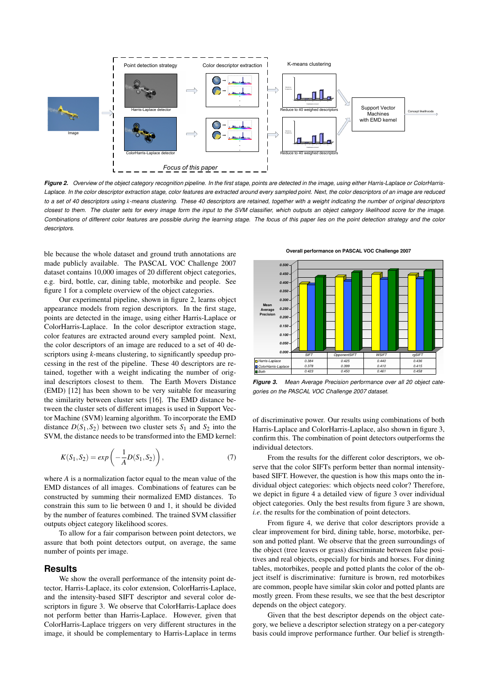

*Figure 2. Overview of the object category recognition pipeline. In the first stage, points are detected in the image, using either Harris-Laplace or ColorHarris-Laplace. In the color descriptor extraction stage, color features are extracted around every sampled point. Next, the color descriptors of an image are reduced to a set of 40 descriptors using k-means clustering. These 40 descriptors are retained, together with a weight indicating the number of original descriptors closest to them. The cluster sets for every image form the input to the SVM classifier, which outputs an object category likelihood score for the image. Combinations of different color features are possible during the learning stage. The focus of this paper lies on the point detection strategy and the color descriptors.*

ble because the whole dataset and ground truth annotations are made publicly available. The PASCAL VOC Challenge 2007 dataset contains 10,000 images of 20 different object categories, e.g. bird, bottle, car, dining table, motorbike and people. See figure 1 for a complete overview of the object categories.

Our experimental pipeline, shown in figure 2, learns object appearance models from region descriptors. In the first stage, points are detected in the image, using either Harris-Laplace or ColorHarris-Laplace. In the color descriptor extraction stage, color features are extracted around every sampled point. Next, the color descriptors of an image are reduced to a set of 40 descriptors using *k*-means clustering, to significantly speedup processing in the rest of the pipeline. These 40 descriptors are retained, together with a weight indicating the number of original descriptors closest to them. The Earth Movers Distance (EMD) [12] has been shown to be very suitable for measuring the similarity between cluster sets [16]. The EMD distance between the cluster sets of different images is used in Support Vector Machine (SVM) learning algorithm. To incorporate the EMD distance  $D(S_1, S_2)$  between two cluster sets  $S_1$  and  $S_2$  into the SVM, the distance needs to be transformed into the EMD kernel:

$$
K(S_1, S_2) = exp\left(-\frac{1}{A}D(S_1, S_2)\right),
$$
\n(7)

where *A* is a normalization factor equal to the mean value of the EMD distances of all images. Combinations of features can be constructed by summing their normalized EMD distances. To constrain this sum to lie between 0 and 1, it should be divided by the number of features combined. The trained SVM classifier outputs object category likelihood scores.

To allow for a fair comparison between point detectors, we assure that both point detectors output, on average, the same number of points per image.

# **Results**

We show the overall performance of the intensity point detector, Harris-Laplace, its color extension, ColorHarris-Laplace, and the intensity-based SIFT descriptor and several color descriptors in figure 3. We observe that ColorHarris-Laplace does not perform better than Harris-Laplace. However, given that ColorHarris-Laplace triggers on very different structures in the image, it should be complementary to Harris-Laplace in terms

**Overall performance on PASCAL VOC Challenge 2007**



*Figure 3. Mean Average Precision performance over all 20 object categories on the PASCAL VOC Challenge 2007 dataset.*

of discriminative power. Our results using combinations of both Harris-Laplace and ColorHarris-Laplace, also shown in figure 3, confirm this. The combination of point detectors outperforms the individual detectors.

From the results for the different color descriptors, we observe that the color SIFTs perform better than normal intensitybased SIFT. However, the question is how this maps onto the individual object categories: which objects need color? Therefore, we depict in figure 4 a detailed view of figure 3 over individual object categories. Only the best results from figure 3 are shown, *i.e*. the results for the combination of point detectors.

From figure 4, we derive that color descriptors provide a clear improvement for bird, dining table, horse, motorbike, person and potted plant. We observe that the green surroundings of the object (tree leaves or grass) discriminate between false positives and real objects, especially for birds and horses. For dining tables, motorbikes, people and potted plants the color of the object itself is discriminative: furniture is brown, red motorbikes are common, people have similar skin color and potted plants are mostly green. From these results, we see that the best descriptor depends on the object category.

Given that the best descriptor depends on the object category, we believe a descriptor selection strategy on a per-category basis could improve performance further. Our belief is strength-